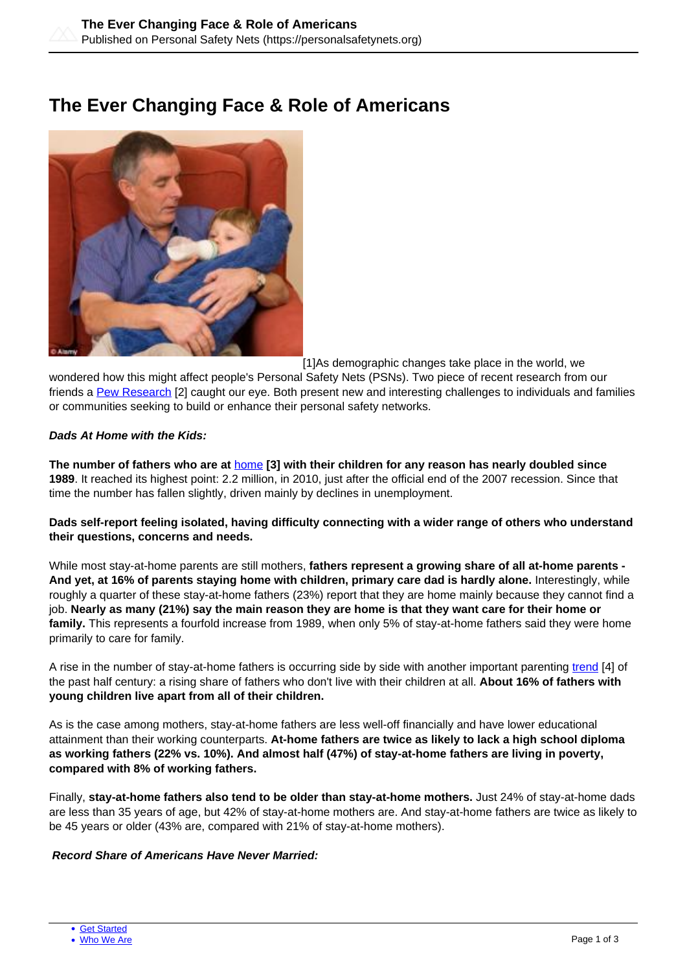# **The Ever Changing Face & Role of Americans**



[1]As demographic changes take place in the world, we

wondered how this might affect people's Personal Safety Nets (PSNs). Two piece of recent research from our friends a [Pew Research](https://www.pewresearch.org/fact-tank/2019/04/11/6-demographic-trends-shaping-the-u-s-and-the-world-in-2019/) [2] caught our eye. Both present new and interesting challenges to individuals and families or communities seeking to build or enhance their personal safety networks.

### **Dads At Home with the Kids:**

**The number of fathers who are at** [home](https://www.pewresearch.org/fact-tank/2019/06/12/fathers-day-facts/) **[3] with their children for any reason has nearly doubled since 1989**. It reached its highest point: 2.2 million, in 2010, just after the official end of the 2007 recession. Since that time the number has fallen slightly, driven mainly by declines in unemployment.

**Dads self-report feeling isolated, having difficulty connecting with a wider range of others who understand their questions, concerns and needs.** 

While most stay-at-home parents are still mothers, **fathers represent a growing share of all at-home parents - And yet, at 16% of parents staying home with children, primary care dad is hardly alone.** Interestingly, while roughly a quarter of these stay-at-home fathers (23%) report that they are home mainly because they cannot find a job. **Nearly as many (21%) say the main reason they are home is that they want care for their home or family.** This represents a fourfold increase from 1989, when only 5% of stay-at-home fathers said they were home primarily to care for family.

A rise in the number of stay-at-home fathers is occurring side by side with another important parenting [trend](https://www.all4kids.org/news/blog/a-fathers-impact-on-child-development/) [4] of the past half century: a rising share of fathers who don't live with their children at all. **About 16% of fathers with young children live apart from all of their children.**

As is the case among mothers, stay-at-home fathers are less well-off financially and have lower educational attainment than their working counterparts. **At-home fathers are twice as likely to lack a high school diploma as working fathers (22% vs. 10%). And almost half (47%) of stay-at-home fathers are living in poverty, compared with 8% of working fathers.** 

Finally, **stay-at-home fathers also tend to be older than stay-at-home mothers.** Just 24% of stay-at-home dads are less than 35 years of age, but 42% of stay-at-home mothers are. And stay-at-home fathers are twice as likely to be 45 years or older (43% are, compared with 21% of stay-at-home mothers).

### **Record Share of Americans Have Never Married:**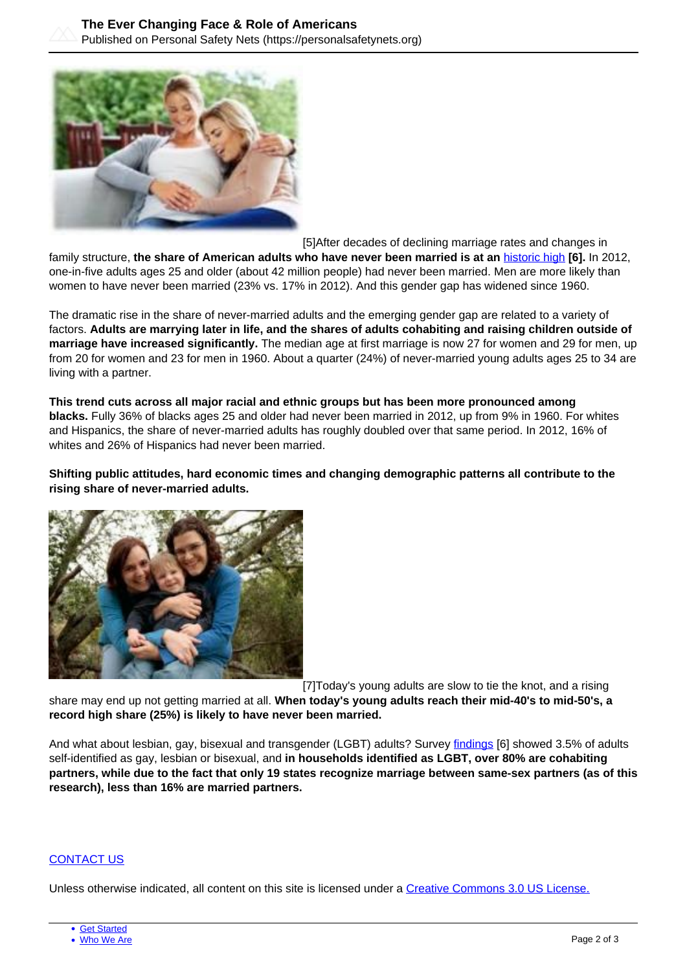

[5]After decades of declining marriage rates and changes in

family structure, **the share of American adults who have never been married is at an** [historic high](https://www.pewsocialtrends.org/2018/04/25/the-changing-profile-of-unmarried-parents/) **[6].** In 2012, one-i[n-five adul](https://personalsafetynets.org/content/building-your-personal-safety-net)ts ages 25 and older (about 42 million people) had never been married. Men are more likely than wom[en to have n](https://personalsafetynets.org/who-we-are)ever been married (23% vs. 17% in 2012). And this gender gap has widened since 1960.

The dramatic rise in the share of never-married adults and the emerging gender gap are related to a variety of factors. **Adults are marrying later in life, and the shares of adults cohabiting and raising children outside of marriage have increased significantly.** The median age at first marriage is now 27 for women and 29 for men, up from 20 for women and 23 for men in 1960. About a quarter (24%) of never-married young adults ages 25 to 34 are living with a partner.

**This trend cuts across all major racial and ethnic groups but has been more pronounced among blacks.** Fully 36% of blacks ages 25 and older had never been married in 2012, up from 9% in 1960. For whites and Hispanics, the share of never-married adults has roughly doubled over that same period. In 2012, 16% of whites and 26% of Hispanics had never been married.

**Shifting public attitudes, hard economic times and changing demographic patterns all contribute to the rising share of never-married adults.**



[7]Today's young adults are slow to tie the knot, and a rising

share may end up not getting married at all. **When today's young adults reach their mid-40's to mid-50's, a record high share (25%) is likely to have never been married.**

And what about lesbian, gay, bisexual and transgender (LGBT) adults? Survey [findings](https://www.pewsocialtrends.org/2018/04/25/the-changing-profile-of-unmarried-parents/) [6] showed 3.5% of adults self-identified as gay, lesbian or bisexual, and **in households identified as LGBT, over 80% are cohabiting partners, while due to the fact that only 19 states recognize marriage between same-sex partners (as of this research), less than 16% are married partners.**

### [CONTACT US](https://personalsafetynets.org/contact)

Unless otherwise indicated, all content on this site is licensed under a [Creative Commons 3.0 US License.](http://creativecommons.org/licenses/by-nc-sa/3.0/us/)